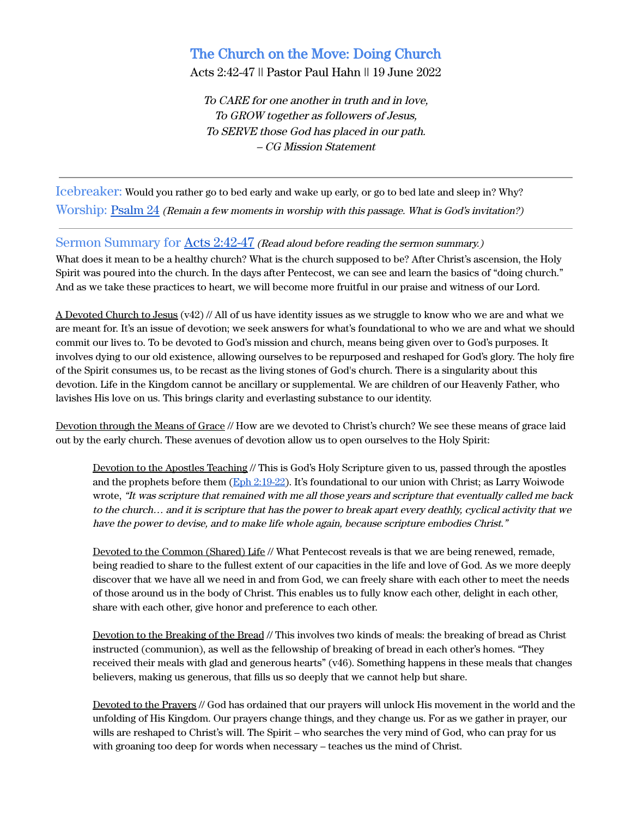# The Church on the Move: Doing Church

Acts 2:42-47 || Pastor Paul Hahn || 19 June 2022

To CARE for one another in truth and in love, To GROW together as followers of Jesus, To SERVE those God has placed in our path. – CG Mission Statement

Icebreaker: Would you rather go to bed early and wake up early, or go to bed late and sleep in? Why? Worship: [Psalm 24](https://www.biblegateway.com/passage/?search=psalm+24&version=ESV) (Remain <sup>a</sup> few moments in worship with this passage. What is God's invitation?)

### Sermon Summary for Acts [2:42-47](https://www.biblegateway.com/passage/?search=Acts+2%3A42-47&version=ESV) (Read aloud before reading the sermon summary.)

What does it mean to be a healthy church? What is the church supposed to be? After Christ's ascension, the Holy Spirit was poured into the church. In the days after Pentecost, we can see and learn the basics of "doing church." And as we take these practices to heart, we will become more fruitful in our praise and witness of our Lord.

A Devoted Church to Jesus (v42) // All of us have identity issues as we struggle to know who we are and what we are meant for. It's an issue of devotion; we seek answers for what's foundational to who we are and what we should commit our lives to. To be devoted to God's mission and church, means being given over to God's purposes. It involves dying to our old existence, allowing ourselves to be repurposed and reshaped for God's glory. The holy fire of the Spirit consumes us, to be recast as the living stones of God's church. There is a singularity about this devotion. Life in the Kingdom cannot be ancillary or supplemental. We are children of our Heavenly Father, who lavishes His love on us. This brings clarity and everlasting substance to our identity.

Devotion through the Means of Grace // How are we devoted to Christ's church? We see these means of grace laid out by the early church. These avenues of devotion allow us to open ourselves to the Holy Spirit:

Devotion to the Apostles Teaching // This is God's Holy Scripture given to us, passed through the apostles and the prophets before them (Eph [2:19-22\)](https://www.biblegateway.com/passage/?search=Ephesians+2%3A19-22&version=ESV). It's foundational to our union with Christ; as Larry Woiwode wrote, "It was scripture that remained with me all those years and scripture that eventually called me back to the church… and it is scripture that has the power to break apart every deathly, cyclical activity that we have the power to devise, and to make life whole again, because scripture embodies Christ."

Devoted to the Common (Shared) Life // What Pentecost reveals is that we are being renewed, remade, being readied to share to the fullest extent of our capacities in the life and love of God. As we more deeply discover that we have all we need in and from God, we can freely share with each other to meet the needs of those around us in the body of Christ. This enables us to fully know each other, delight in each other, share with each other, give honor and preference to each other.

Devotion to the Breaking of the Bread // This involves two kinds of meals: the breaking of bread as Christ instructed (communion), as well as the fellowship of breaking of bread in each other's homes. "They received their meals with glad and generous hearts" (v46). Something happens in these meals that changes believers, making us generous, that fills us so deeply that we cannot help but share.

Devoted to the Prayers // God has ordained that our prayers will unlock His movement in the world and the unfolding of His Kingdom. Our prayers change things, and they change us. For as we gather in prayer, our wills are reshaped to Christ's will. The Spirit – who searches the very mind of God, who can pray for us with groaning too deep for words when necessary – teaches us the mind of Christ.